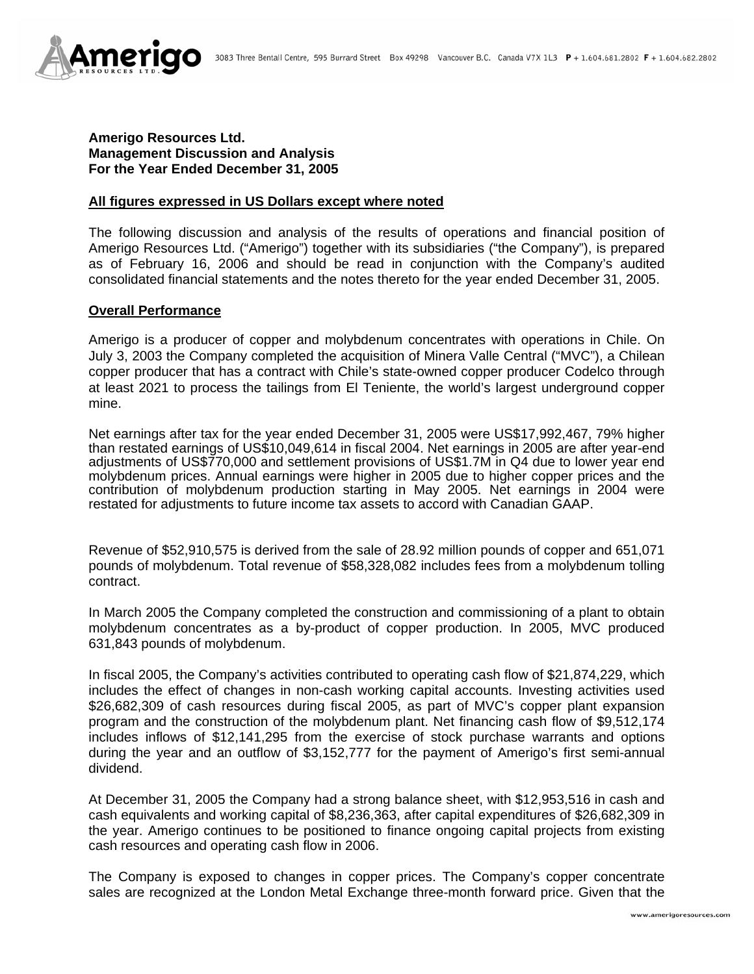

## **Amerigo Resources Ltd. Management Discussion and Analysis For the Year Ended December 31, 2005**

#### **All figures expressed in US Dollars except where noted**

The following discussion and analysis of the results of operations and financial position of Amerigo Resources Ltd. ("Amerigo") together with its subsidiaries ("the Company"), is prepared as of February 16, 2006 and should be read in conjunction with the Company's audited consolidated financial statements and the notes thereto for the year ended December 31, 2005.

#### **Overall Performance**

Amerigo is a producer of copper and molybdenum concentrates with operations in Chile. On July 3, 2003 the Company completed the acquisition of Minera Valle Central ("MVC"), a Chilean copper producer that has a contract with Chile's state-owned copper producer Codelco through at least 2021 to process the tailings from El Teniente, the world's largest underground copper mine.

Net earnings after tax for the year ended December 31, 2005 were US\$17,992,467, 79% higher than restated earnings of US\$10,049,614 in fiscal 2004. Net earnings in 2005 are after year-end adjustments of US\$770,000 and settlement provisions of US\$1.7M in Q4 due to lower year end molybdenum prices. Annual earnings were higher in 2005 due to higher copper prices and the contribution of molybdenum production starting in May 2005. Net earnings in 2004 were restated for adjustments to future income tax assets to accord with Canadian GAAP.

Revenue of \$52,910,575 is derived from the sale of 28.92 million pounds of copper and 651,071 pounds of molybdenum. Total revenue of \$58,328,082 includes fees from a molybdenum tolling contract.

In March 2005 the Company completed the construction and commissioning of a plant to obtain molybdenum concentrates as a by-product of copper production. In 2005, MVC produced 631,843 pounds of molybdenum.

In fiscal 2005, the Company's activities contributed to operating cash flow of \$21,874,229, which includes the effect of changes in non-cash working capital accounts. Investing activities used \$26,682,309 of cash resources during fiscal 2005, as part of MVC's copper plant expansion program and the construction of the molybdenum plant. Net financing cash flow of \$9,512,174 includes inflows of \$12,141,295 from the exercise of stock purchase warrants and options during the year and an outflow of \$3,152,777 for the payment of Amerigo's first semi-annual dividend.

At December 31, 2005 the Company had a strong balance sheet, with \$12,953,516 in cash and cash equivalents and working capital of \$8,236,363, after capital expenditures of \$26,682,309 in the year. Amerigo continues to be positioned to finance ongoing capital projects from existing cash resources and operating cash flow in 2006.

The Company is exposed to changes in copper prices. The Company's copper concentrate sales are recognized at the London Metal Exchange three-month forward price. Given that the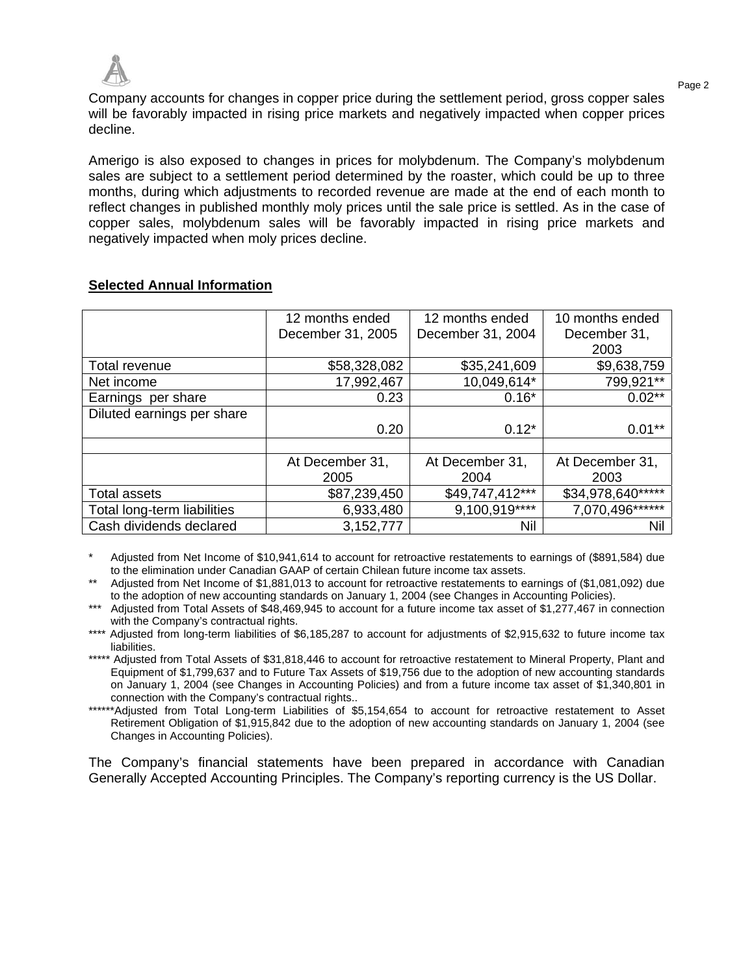

Page 2 Company accounts for changes in copper price during the settlement period, gross copper sales will be favorably impacted in rising price markets and negatively impacted when copper prices decline.

Amerigo is also exposed to changes in prices for molybdenum. The Company's molybdenum sales are subject to a settlement period determined by the roaster, which could be up to three months, during which adjustments to recorded revenue are made at the end of each month to reflect changes in published monthly moly prices until the sale price is settled. As in the case of copper sales, molybdenum sales will be favorably impacted in rising price markets and negatively impacted when moly prices decline.

|                             | 12 months ended   | 12 months ended   | 10 months ended   |
|-----------------------------|-------------------|-------------------|-------------------|
|                             | December 31, 2005 | December 31, 2004 | December 31,      |
|                             |                   |                   | 2003              |
| Total revenue               | \$58,328,082      | \$35,241,609      | \$9,638,759       |
| Net income                  | 17,992,467        | 10,049,614*       | 799,921**         |
| Earnings per share          | 0.23              | $0.16*$           | $0.02**$          |
| Diluted earnings per share  |                   |                   |                   |
|                             | 0.20              | $0.12*$           | $0.01***$         |
|                             |                   |                   |                   |
|                             | At December 31,   | At December 31,   | At December 31,   |
|                             | 2005              | 2004              | 2003              |
| <b>Total assets</b>         | \$87,239,450      | \$49,747,412***   | \$34,978,640***** |
| Total long-term liabilities | 6,933,480         | 9,100,919****     | 7,070,496******   |
| Cash dividends declared     | 3,152,777         | Nil               | Nil               |

## **Selected Annual Information**

Adjusted from Net Income of \$10,941,614 to account for retroactive restatements to earnings of (\$891,584) due to the elimination under Canadian GAAP of certain Chilean future income tax assets.

\*\* Adjusted from Net Income of \$1,881,013 to account for retroactive restatements to earnings of (\$1,081,092) due to the adoption of new accounting standards on January 1, 2004 (see Changes in Accounting Policies).

\*\*\* Adjusted from Total Assets of \$48,469,945 to account for a future income tax asset of \$1,277,467 in connection with the Company's contractual rights.

\*\*\*\* Adjusted from long-term liabilities of \$6,185,287 to account for adjustments of \$2,915,632 to future income tax liabilities.

\*\*\*\*\* Adjusted from Total Assets of \$31,818,446 to account for retroactive restatement to Mineral Property, Plant and Equipment of \$1,799,637 and to Future Tax Assets of \$19,756 due to the adoption of new accounting standards on January 1, 2004 (see Changes in Accounting Policies) and from a future income tax asset of \$1,340,801 in connection with the Company's contractual rights..

\*\*\*\*\*\*Adjusted from Total Long-term Liabilities of \$5,154,654 to account for retroactive restatement to Asset Retirement Obligation of \$1,915,842 due to the adoption of new accounting standards on January 1, 2004 (see Changes in Accounting Policies).

The Company's financial statements have been prepared in accordance with Canadian Generally Accepted Accounting Principles. The Company's reporting currency is the US Dollar.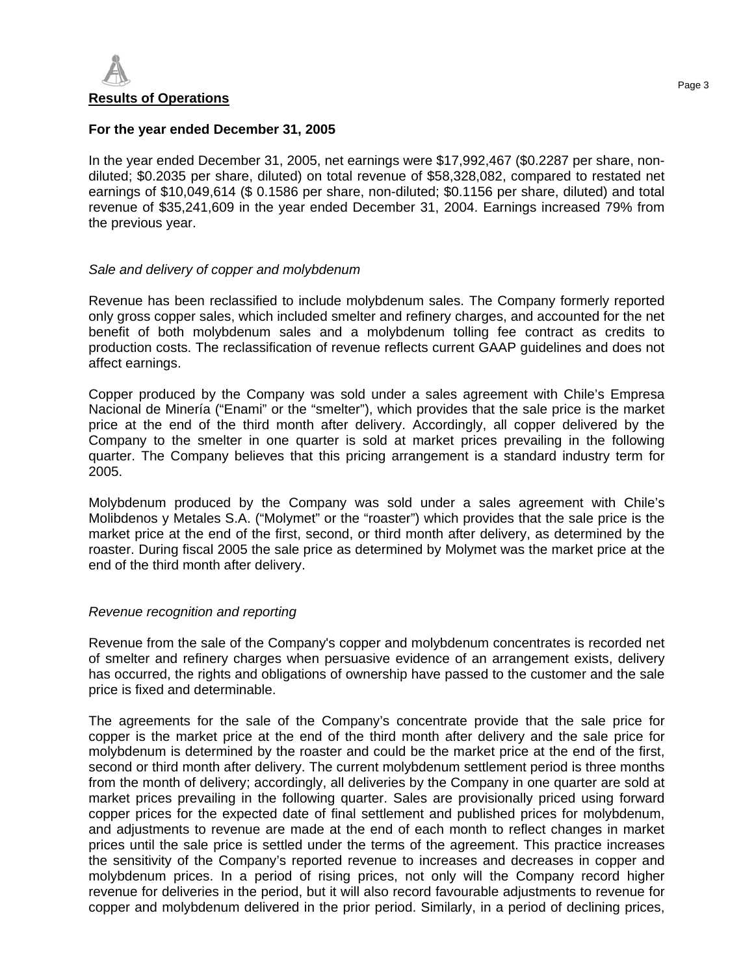

### **For the year ended December 31, 2005**

In the year ended December 31, 2005, net earnings were \$17,992,467 (\$0.2287 per share, nondiluted; \$0.2035 per share, diluted) on total revenue of \$58,328,082, compared to restated net earnings of \$10,049,614 (\$ 0.1586 per share, non-diluted; \$0.1156 per share, diluted) and total revenue of \$35,241,609 in the year ended December 31, 2004. Earnings increased 79% from the previous year.

## *Sale and delivery of copper and molybdenum*

Revenue has been reclassified to include molybdenum sales. The Company formerly reported only gross copper sales, which included smelter and refinery charges, and accounted for the net benefit of both molybdenum sales and a molybdenum tolling fee contract as credits to production costs. The reclassification of revenue reflects current GAAP guidelines and does not affect earnings.

Copper produced by the Company was sold under a sales agreement with Chile's Empresa Nacional de Minería ("Enami" or the "smelter"), which provides that the sale price is the market price at the end of the third month after delivery. Accordingly, all copper delivered by the Company to the smelter in one quarter is sold at market prices prevailing in the following quarter. The Company believes that this pricing arrangement is a standard industry term for 2005.

Molybdenum produced by the Company was sold under a sales agreement with Chile's Molibdenos y Metales S.A. ("Molymet" or the "roaster") which provides that the sale price is the market price at the end of the first, second, or third month after delivery, as determined by the roaster. During fiscal 2005 the sale price as determined by Molymet was the market price at the end of the third month after delivery.

## *Revenue recognition and reporting*

Revenue from the sale of the Company's copper and molybdenum concentrates is recorded net of smelter and refinery charges when persuasive evidence of an arrangement exists, delivery has occurred, the rights and obligations of ownership have passed to the customer and the sale price is fixed and determinable.

The agreements for the sale of the Company's concentrate provide that the sale price for copper is the market price at the end of the third month after delivery and the sale price for molybdenum is determined by the roaster and could be the market price at the end of the first, second or third month after delivery. The current molybdenum settlement period is three months from the month of delivery; accordingly, all deliveries by the Company in one quarter are sold at market prices prevailing in the following quarter. Sales are provisionally priced using forward copper prices for the expected date of final settlement and published prices for molybdenum, and adjustments to revenue are made at the end of each month to reflect changes in market prices until the sale price is settled under the terms of the agreement. This practice increases the sensitivity of the Company's reported revenue to increases and decreases in copper and molybdenum prices. In a period of rising prices, not only will the Company record higher revenue for deliveries in the period, but it will also record favourable adjustments to revenue for copper and molybdenum delivered in the prior period. Similarly, in a period of declining prices,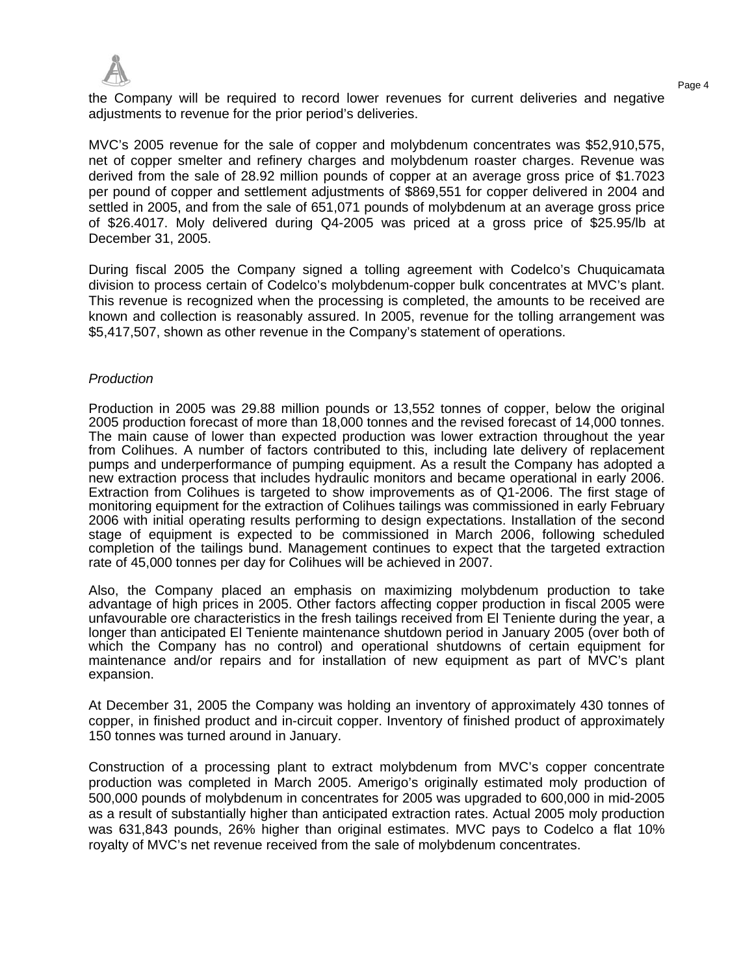

the Company will be required to record lower revenues for current deliveries and negative adjustments to revenue for the prior period's deliveries.

MVC's 2005 revenue for the sale of copper and molybdenum concentrates was \$52,910,575, net of copper smelter and refinery charges and molybdenum roaster charges. Revenue was derived from the sale of 28.92 million pounds of copper at an average gross price of \$1.7023 per pound of copper and settlement adjustments of \$869,551 for copper delivered in 2004 and settled in 2005, and from the sale of 651,071 pounds of molybdenum at an average gross price of \$26.4017. Moly delivered during Q4-2005 was priced at a gross price of \$25.95/lb at December 31, 2005.

During fiscal 2005 the Company signed a tolling agreement with Codelco's Chuquicamata division to process certain of Codelco's molybdenum-copper bulk concentrates at MVC's plant. This revenue is recognized when the processing is completed, the amounts to be received are known and collection is reasonably assured. In 2005, revenue for the tolling arrangement was \$5,417,507, shown as other revenue in the Company's statement of operations.

### *Production*

Production in 2005 was 29.88 million pounds or 13,552 tonnes of copper, below the original 2005 production forecast of more than 18,000 tonnes and the revised forecast of 14,000 tonnes. The main cause of lower than expected production was lower extraction throughout the year from Colihues. A number of factors contributed to this, including late delivery of replacement pumps and underperformance of pumping equipment. As a result the Company has adopted a new extraction process that includes hydraulic monitors and became operational in early 2006. Extraction from Colihues is targeted to show improvements as of Q1-2006. The first stage of monitoring equipment for the extraction of Colihues tailings was commissioned in early February 2006 with initial operating results performing to design expectations. Installation of the second stage of equipment is expected to be commissioned in March 2006, following scheduled completion of the tailings bund. Management continues to expect that the targeted extraction rate of 45,000 tonnes per day for Colihues will be achieved in 2007.

Also, the Company placed an emphasis on maximizing molybdenum production to take advantage of high prices in 2005. Other factors affecting copper production in fiscal 2005 were unfavourable ore characteristics in the fresh tailings received from El Teniente during the year, a longer than anticipated El Teniente maintenance shutdown period in January 2005 (over both of which the Company has no control) and operational shutdowns of certain equipment for maintenance and/or repairs and for installation of new equipment as part of MVC's plant expansion.

At December 31, 2005 the Company was holding an inventory of approximately 430 tonnes of copper, in finished product and in-circuit copper. Inventory of finished product of approximately 150 tonnes was turned around in January.

Construction of a processing plant to extract molybdenum from MVC's copper concentrate production was completed in March 2005. Amerigo's originally estimated moly production of 500,000 pounds of molybdenum in concentrates for 2005 was upgraded to 600,000 in mid-2005 as a result of substantially higher than anticipated extraction rates. Actual 2005 moly production was 631,843 pounds, 26% higher than original estimates. MVC pays to Codelco a flat 10% royalty of MVC's net revenue received from the sale of molybdenum concentrates.

Page 4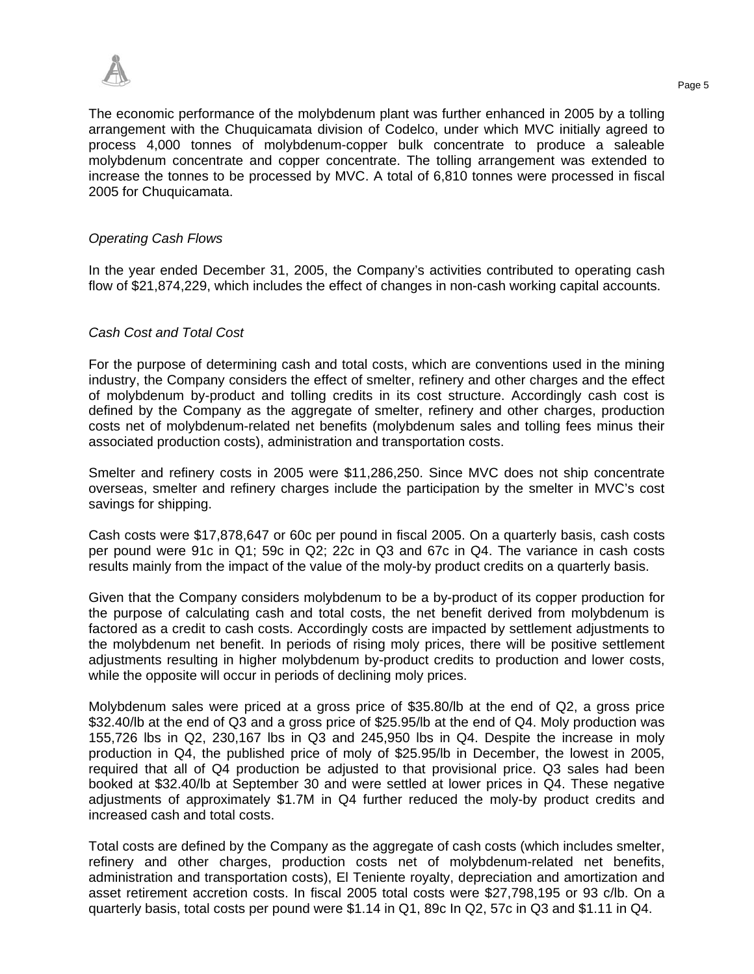

The economic performance of the molybdenum plant was further enhanced in 2005 by a tolling arrangement with the Chuquicamata division of Codelco, under which MVC initially agreed to process 4,000 tonnes of molybdenum-copper bulk concentrate to produce a saleable molybdenum concentrate and copper concentrate. The tolling arrangement was extended to increase the tonnes to be processed by MVC. A total of 6,810 tonnes were processed in fiscal 2005 for Chuquicamata.

### *Operating Cash Flows*

In the year ended December 31, 2005, the Company's activities contributed to operating cash flow of \$21,874,229, which includes the effect of changes in non-cash working capital accounts.

### *Cash Cost and Total Cost*

For the purpose of determining cash and total costs, which are conventions used in the mining industry, the Company considers the effect of smelter, refinery and other charges and the effect of molybdenum by-product and tolling credits in its cost structure. Accordingly cash cost is defined by the Company as the aggregate of smelter, refinery and other charges, production costs net of molybdenum-related net benefits (molybdenum sales and tolling fees minus their associated production costs), administration and transportation costs.

Smelter and refinery costs in 2005 were \$11,286,250. Since MVC does not ship concentrate overseas, smelter and refinery charges include the participation by the smelter in MVC's cost savings for shipping.

Cash costs were \$17,878,647 or 60c per pound in fiscal 2005. On a quarterly basis, cash costs per pound were 91c in Q1; 59c in Q2; 22c in Q3 and 67c in Q4. The variance in cash costs results mainly from the impact of the value of the moly-by product credits on a quarterly basis.

Given that the Company considers molybdenum to be a by-product of its copper production for the purpose of calculating cash and total costs, the net benefit derived from molybdenum is factored as a credit to cash costs. Accordingly costs are impacted by settlement adjustments to the molybdenum net benefit. In periods of rising moly prices, there will be positive settlement adjustments resulting in higher molybdenum by-product credits to production and lower costs, while the opposite will occur in periods of declining moly prices.

Molybdenum sales were priced at a gross price of \$35.80/lb at the end of Q2, a gross price \$32.40/lb at the end of Q3 and a gross price of \$25.95/lb at the end of Q4. Moly production was 155,726 lbs in Q2, 230,167 lbs in Q3 and 245,950 lbs in Q4. Despite the increase in moly production in Q4, the published price of moly of \$25.95/lb in December, the lowest in 2005, required that all of Q4 production be adjusted to that provisional price. Q3 sales had been booked at \$32.40/lb at September 30 and were settled at lower prices in Q4. These negative adjustments of approximately \$1.7M in Q4 further reduced the moly-by product credits and increased cash and total costs.

Total costs are defined by the Company as the aggregate of cash costs (which includes smelter, refinery and other charges, production costs net of molybdenum-related net benefits, administration and transportation costs), El Teniente royalty, depreciation and amortization and asset retirement accretion costs. In fiscal 2005 total costs were \$27,798,195 or 93 c/lb. On a quarterly basis, total costs per pound were \$1.14 in Q1, 89c In Q2, 57c in Q3 and \$1.11 in Q4.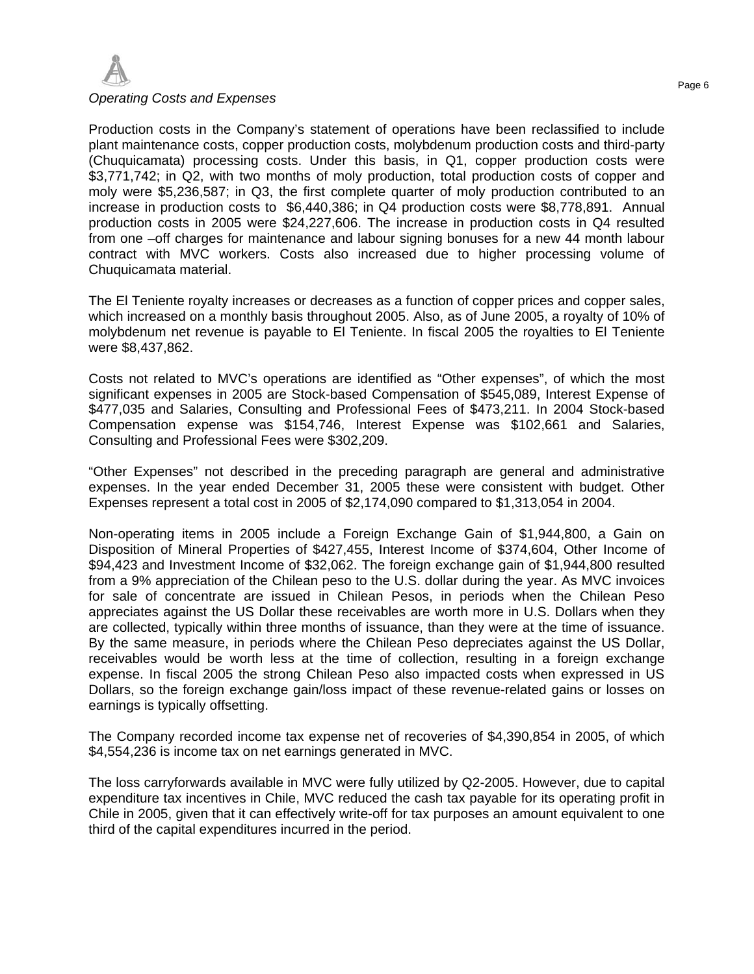

### *Operating Costs and Expenses*

Production costs in the Company's statement of operations have been reclassified to include plant maintenance costs, copper production costs, molybdenum production costs and third-party (Chuquicamata) processing costs. Under this basis, in Q1, copper production costs were \$3,771,742; in Q2, with two months of moly production, total production costs of copper and moly were \$5,236,587; in Q3, the first complete quarter of moly production contributed to an increase in production costs to \$6,440,386; in Q4 production costs were \$8,778,891. Annual production costs in 2005 were \$24,227,606. The increase in production costs in Q4 resulted from one –off charges for maintenance and labour signing bonuses for a new 44 month labour contract with MVC workers. Costs also increased due to higher processing volume of Chuquicamata material.

The El Teniente royalty increases or decreases as a function of copper prices and copper sales, which increased on a monthly basis throughout 2005. Also, as of June 2005, a royalty of 10% of molybdenum net revenue is payable to El Teniente. In fiscal 2005 the royalties to El Teniente were \$8,437,862.

Costs not related to MVC's operations are identified as "Other expenses", of which the most significant expenses in 2005 are Stock-based Compensation of \$545,089, Interest Expense of \$477,035 and Salaries, Consulting and Professional Fees of \$473,211. In 2004 Stock-based Compensation expense was \$154,746, Interest Expense was \$102,661 and Salaries, Consulting and Professional Fees were \$302,209.

"Other Expenses" not described in the preceding paragraph are general and administrative expenses. In the year ended December 31, 2005 these were consistent with budget. Other Expenses represent a total cost in 2005 of \$2,174,090 compared to \$1,313,054 in 2004.

Non-operating items in 2005 include a Foreign Exchange Gain of \$1,944,800, a Gain on Disposition of Mineral Properties of \$427,455, Interest Income of \$374,604, Other Income of \$94,423 and Investment Income of \$32,062. The foreign exchange gain of \$1,944,800 resulted from a 9% appreciation of the Chilean peso to the U.S. dollar during the year. As MVC invoices for sale of concentrate are issued in Chilean Pesos, in periods when the Chilean Peso appreciates against the US Dollar these receivables are worth more in U.S. Dollars when they are collected, typically within three months of issuance, than they were at the time of issuance. By the same measure, in periods where the Chilean Peso depreciates against the US Dollar, receivables would be worth less at the time of collection, resulting in a foreign exchange expense. In fiscal 2005 the strong Chilean Peso also impacted costs when expressed in US Dollars, so the foreign exchange gain/loss impact of these revenue-related gains or losses on earnings is typically offsetting.

The Company recorded income tax expense net of recoveries of \$4,390,854 in 2005, of which \$4,554,236 is income tax on net earnings generated in MVC.

The loss carryforwards available in MVC were fully utilized by Q2-2005. However, due to capital expenditure tax incentives in Chile, MVC reduced the cash tax payable for its operating profit in Chile in 2005, given that it can effectively write-off for tax purposes an amount equivalent to one third of the capital expenditures incurred in the period.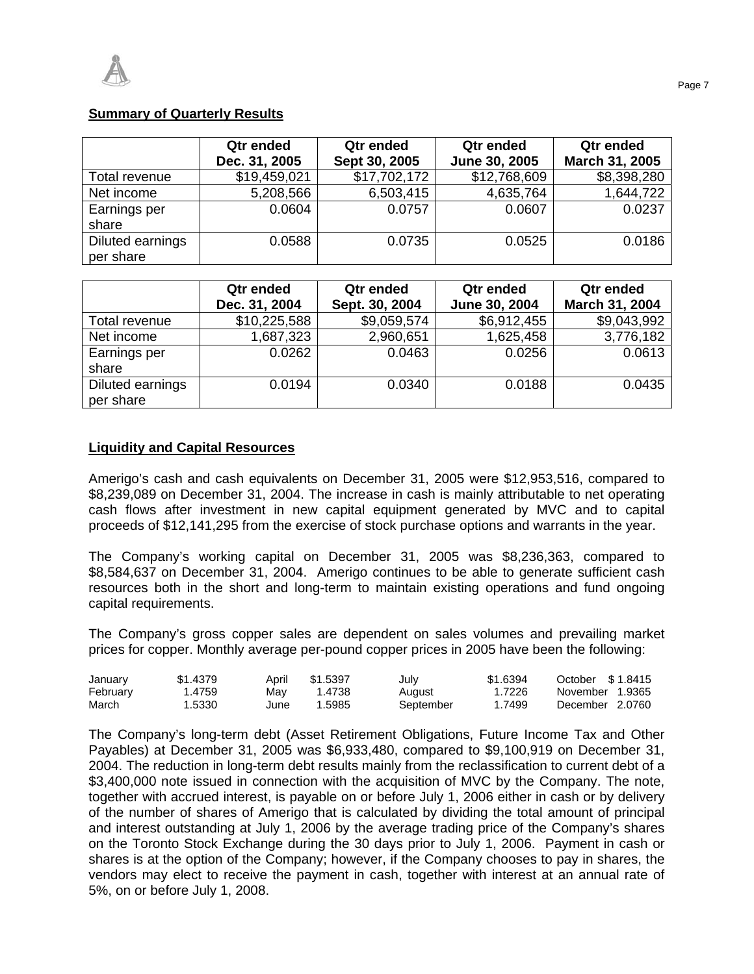# **Summary of Quarterly Results**

|                               | Qtr ended<br>Dec. 31, 2005 | Qtr ended<br>Sept 30, 2005 | Qtr ended<br>June 30, 2005 | Qtr ended<br>March 31, 2005 |
|-------------------------------|----------------------------|----------------------------|----------------------------|-----------------------------|
| Total revenue                 | \$19,459,021               | \$17,702,172               | \$12,768,609               | \$8,398,280                 |
| Net income                    | 5,208,566                  | 6,503,415                  | 4,635,764                  | 1,644,722                   |
| Earnings per<br>share         | 0.0604                     | 0.0757                     | 0.0607                     | 0.0237                      |
| Diluted earnings<br>per share | 0.0588                     | 0.0735                     | 0.0525                     | 0.0186                      |

|                               | Qtr ended<br>Dec. 31, 2004 | Qtr ended<br>Sept. 30, 2004 | Qtr ended<br>June 30, 2004 | <b>Qtr</b> ended<br>March 31, 2004 |
|-------------------------------|----------------------------|-----------------------------|----------------------------|------------------------------------|
| Total revenue                 | \$10,225,588               | \$9,059,574                 | \$6,912,455                | \$9,043,992                        |
| Net income                    | 1,687,323                  | 2,960,651                   | 1,625,458                  | 3,776,182                          |
| Earnings per<br>share         | 0.0262                     | 0.0463                      | 0.0256                     | 0.0613                             |
| Diluted earnings<br>per share | 0.0194                     | 0.0340                      | 0.0188                     | 0.0435                             |

## **Liquidity and Capital Resources**

Amerigo's cash and cash equivalents on December 31, 2005 were \$12,953,516, compared to \$8,239,089 on December 31, 2004. The increase in cash is mainly attributable to net operating cash flows after investment in new capital equipment generated by MVC and to capital proceeds of \$12,141,295 from the exercise of stock purchase options and warrants in the year.

The Company's working capital on December 31, 2005 was \$8,236,363, compared to \$8,584,637 on December 31, 2004. Amerigo continues to be able to generate sufficient cash resources both in the short and long-term to maintain existing operations and fund ongoing capital requirements.

The Company's gross copper sales are dependent on sales volumes and prevailing market prices for copper. Monthly average per-pound copper prices in 2005 have been the following:

| January  | \$1,4379 | April | \$1.5397 | July      | \$1.6394 | October \$1.8415 |
|----------|----------|-------|----------|-----------|----------|------------------|
| February | l.4759   | Mav   | 1.4738   | August    | 1.7226   | November 1.9365  |
| March    | .5330    | June  | 1.5985   | September | 1.7499   | December 2.0760  |

The Company's long-term debt (Asset Retirement Obligations, Future Income Tax and Other Payables) at December 31, 2005 was \$6,933,480, compared to \$9,100,919 on December 31, 2004. The reduction in long-term debt results mainly from the reclassification to current debt of a \$3,400,000 note issued in connection with the acquisition of MVC by the Company. The note, together with accrued interest, is payable on or before July 1, 2006 either in cash or by delivery of the number of shares of Amerigo that is calculated by dividing the total amount of principal and interest outstanding at July 1, 2006 by the average trading price of the Company's shares on the Toronto Stock Exchange during the 30 days prior to July 1, 2006. Payment in cash or shares is at the option of the Company; however, if the Company chooses to pay in shares, the vendors may elect to receive the payment in cash, together with interest at an annual rate of 5%, on or before July 1, 2008.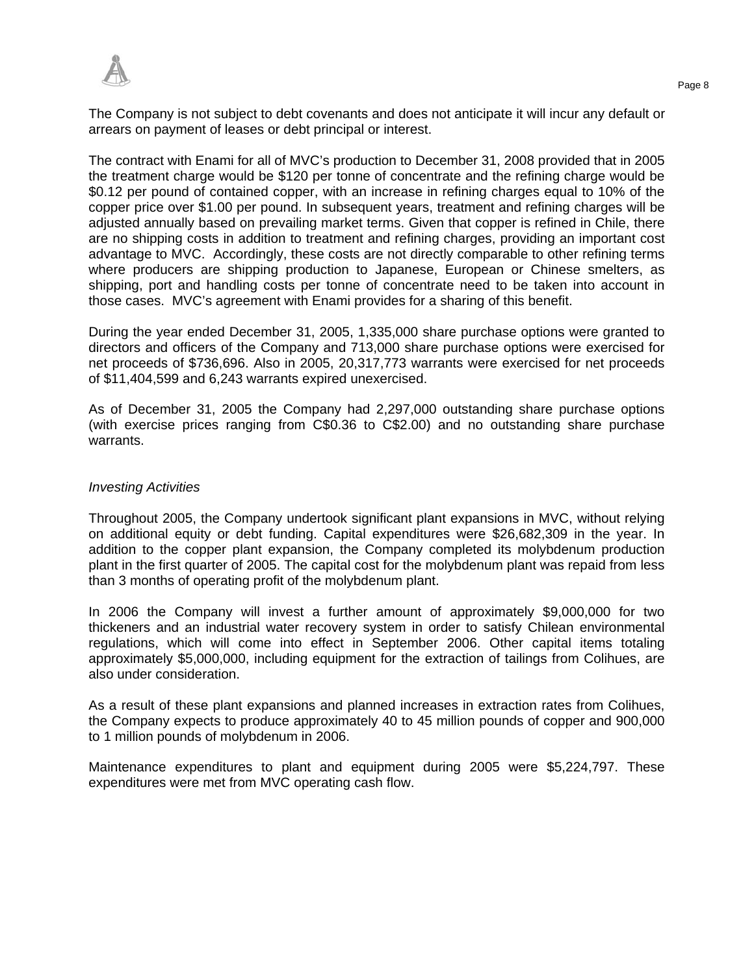The Company is not subject to debt covenants and does not anticipate it will incur any default or arrears on payment of leases or debt principal or interest.

The contract with Enami for all of MVC's production to December 31, 2008 provided that in 2005 the treatment charge would be \$120 per tonne of concentrate and the refining charge would be \$0.12 per pound of contained copper, with an increase in refining charges equal to 10% of the copper price over \$1.00 per pound. In subsequent years, treatment and refining charges will be adjusted annually based on prevailing market terms. Given that copper is refined in Chile, there are no shipping costs in addition to treatment and refining charges, providing an important cost advantage to MVC. Accordingly, these costs are not directly comparable to other refining terms where producers are shipping production to Japanese, European or Chinese smelters, as shipping, port and handling costs per tonne of concentrate need to be taken into account in those cases. MVC's agreement with Enami provides for a sharing of this benefit.

During the year ended December 31, 2005, 1,335,000 share purchase options were granted to directors and officers of the Company and 713,000 share purchase options were exercised for net proceeds of \$736,696. Also in 2005, 20,317,773 warrants were exercised for net proceeds of \$11,404,599 and 6,243 warrants expired unexercised.

As of December 31, 2005 the Company had 2,297,000 outstanding share purchase options (with exercise prices ranging from C\$0.36 to C\$2.00) and no outstanding share purchase warrants.

## *Investing Activities*

Throughout 2005, the Company undertook significant plant expansions in MVC, without relying on additional equity or debt funding. Capital expenditures were \$26,682,309 in the year. In addition to the copper plant expansion, the Company completed its molybdenum production plant in the first quarter of 2005. The capital cost for the molybdenum plant was repaid from less than 3 months of operating profit of the molybdenum plant.

In 2006 the Company will invest a further amount of approximately \$9,000,000 for two thickeners and an industrial water recovery system in order to satisfy Chilean environmental regulations, which will come into effect in September 2006. Other capital items totaling approximately \$5,000,000, including equipment for the extraction of tailings from Colihues, are also under consideration.

As a result of these plant expansions and planned increases in extraction rates from Colihues, the Company expects to produce approximately 40 to 45 million pounds of copper and 900,000 to 1 million pounds of molybdenum in 2006.

Maintenance expenditures to plant and equipment during 2005 were \$5,224,797. These expenditures were met from MVC operating cash flow.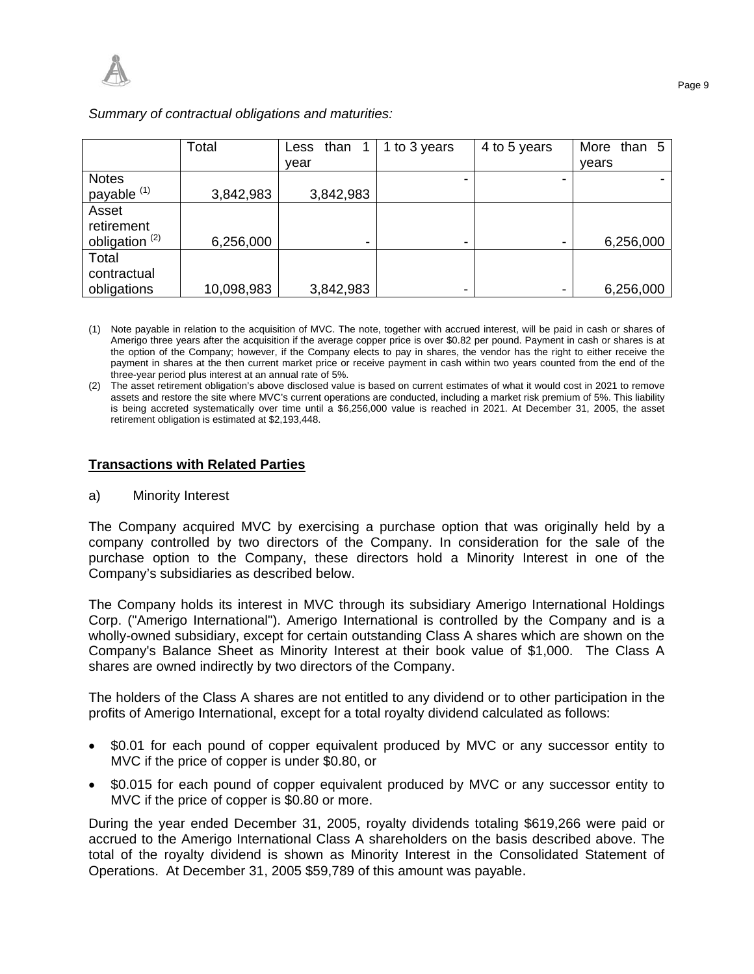|                           | Total      | Less than $1$            | 1 to 3 years             | 4 to 5 years | More than 5 |
|---------------------------|------------|--------------------------|--------------------------|--------------|-------------|
|                           |            | vear                     |                          |              | vears       |
| <b>Notes</b>              |            |                          |                          |              |             |
| payable <sup>(1)</sup>    | 3,842,983  | 3,842,983                |                          |              |             |
| Asset                     |            |                          |                          |              |             |
| retirement                |            |                          |                          |              |             |
| obligation <sup>(2)</sup> | 6,256,000  | $\overline{\phantom{0}}$ |                          |              | 6,256,000   |
| Total                     |            |                          |                          |              |             |
| contractual               |            |                          |                          |              |             |
| obligations               | 10,098,983 | 3,842,983                | $\overline{\phantom{0}}$ |              | 6,256,000   |

*Summary of contractual obligations and maturities:* 

- (1) Note payable in relation to the acquisition of MVC. The note, together with accrued interest, will be paid in cash or shares of Amerigo three years after the acquisition if the average copper price is over \$0.82 per pound. Payment in cash or shares is at the option of the Company; however, if the Company elects to pay in shares, the vendor has the right to either receive the payment in shares at the then current market price or receive payment in cash within two years counted from the end of the three-year period plus interest at an annual rate of 5%.
- (2) The asset retirement obligation's above disclosed value is based on current estimates of what it would cost in 2021 to remove assets and restore the site where MVC's current operations are conducted, including a market risk premium of 5%. This liability is being accreted systematically over time until a \$6,256,000 value is reached in 2021. At December 31, 2005, the asset retirement obligation is estimated at \$2,193,448.

# **Transactions with Related Parties**

a) Minority Interest

The Company acquired MVC by exercising a purchase option that was originally held by a company controlled by two directors of the Company. In consideration for the sale of the purchase option to the Company, these directors hold a Minority Interest in one of the Company's subsidiaries as described below.

The Company holds its interest in MVC through its subsidiary Amerigo International Holdings Corp. ("Amerigo International"). Amerigo International is controlled by the Company and is a wholly-owned subsidiary, except for certain outstanding Class A shares which are shown on the Company's Balance Sheet as Minority Interest at their book value of \$1,000. The Class A shares are owned indirectly by two directors of the Company.

The holders of the Class A shares are not entitled to any dividend or to other participation in the profits of Amerigo International, except for a total royalty dividend calculated as follows:

- \$0.01 for each pound of copper equivalent produced by MVC or any successor entity to MVC if the price of copper is under \$0.80, or
- \$0.015 for each pound of copper equivalent produced by MVC or any successor entity to MVC if the price of copper is \$0.80 or more.

During the year ended December 31, 2005, royalty dividends totaling \$619,266 were paid or accrued to the Amerigo International Class A shareholders on the basis described above. The total of the royalty dividend is shown as Minority Interest in the Consolidated Statement of Operations. At December 31, 2005 \$59,789 of this amount was payable.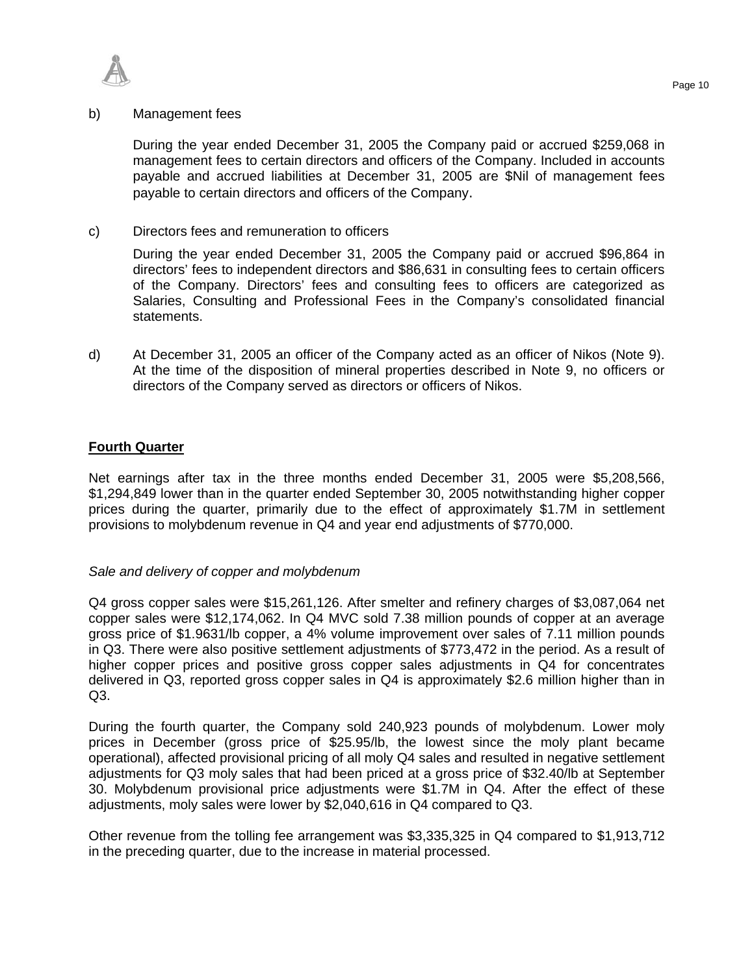

### b) Management fees

During the year ended December 31, 2005 the Company paid or accrued \$259,068 in management fees to certain directors and officers of the Company. Included in accounts payable and accrued liabilities at December 31, 2005 are \$Nil of management fees payable to certain directors and officers of the Company.

c) Directors fees and remuneration to officers

During the year ended December 31, 2005 the Company paid or accrued \$96,864 in directors' fees to independent directors and \$86,631 in consulting fees to certain officers of the Company. Directors' fees and consulting fees to officers are categorized as Salaries, Consulting and Professional Fees in the Company's consolidated financial statements.

d) At December 31, 2005 an officer of the Company acted as an officer of Nikos (Note 9). At the time of the disposition of mineral properties described in Note 9, no officers or directors of the Company served as directors or officers of Nikos.

## **Fourth Quarter**

Net earnings after tax in the three months ended December 31, 2005 were \$5,208,566, \$1,294,849 lower than in the quarter ended September 30, 2005 notwithstanding higher copper prices during the quarter, primarily due to the effect of approximately \$1.7M in settlement provisions to molybdenum revenue in Q4 and year end adjustments of \$770,000.

#### *Sale and delivery of copper and molybdenum*

Q4 gross copper sales were \$15,261,126. After smelter and refinery charges of \$3,087,064 net copper sales were \$12,174,062. In Q4 MVC sold 7.38 million pounds of copper at an average gross price of \$1.9631/lb copper, a 4% volume improvement over sales of 7.11 million pounds in Q3. There were also positive settlement adjustments of \$773,472 in the period. As a result of higher copper prices and positive gross copper sales adjustments in Q4 for concentrates delivered in Q3, reported gross copper sales in Q4 is approximately \$2.6 million higher than in Q3.

During the fourth quarter, the Company sold 240,923 pounds of molybdenum. Lower moly prices in December (gross price of \$25.95/lb, the lowest since the moly plant became operational), affected provisional pricing of all moly Q4 sales and resulted in negative settlement adjustments for Q3 moly sales that had been priced at a gross price of \$32.40/lb at September 30. Molybdenum provisional price adjustments were \$1.7M in Q4. After the effect of these adjustments, moly sales were lower by \$2,040,616 in Q4 compared to Q3.

Other revenue from the tolling fee arrangement was \$3,335,325 in Q4 compared to \$1,913,712 in the preceding quarter, due to the increase in material processed.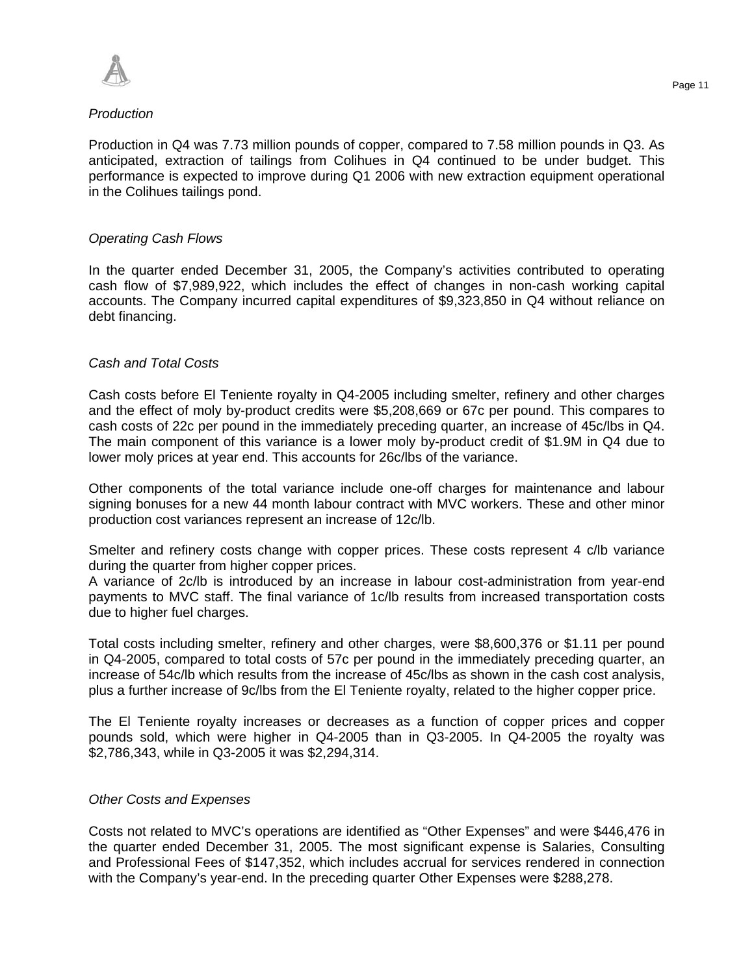

# *Production*

Production in Q4 was 7.73 million pounds of copper, compared to 7.58 million pounds in Q3. As anticipated, extraction of tailings from Colihues in Q4 continued to be under budget. This performance is expected to improve during Q1 2006 with new extraction equipment operational in the Colihues tailings pond.

## *Operating Cash Flows*

In the quarter ended December 31, 2005, the Company's activities contributed to operating cash flow of \$7,989,922, which includes the effect of changes in non-cash working capital accounts. The Company incurred capital expenditures of \$9,323,850 in Q4 without reliance on debt financing.

# *Cash and Total Costs*

Cash costs before El Teniente royalty in Q4-2005 including smelter, refinery and other charges and the effect of moly by-product credits were \$5,208,669 or 67c per pound. This compares to cash costs of 22c per pound in the immediately preceding quarter, an increase of 45c/lbs in Q4. The main component of this variance is a lower moly by-product credit of \$1.9M in Q4 due to lower moly prices at year end. This accounts for 26c/lbs of the variance.

Other components of the total variance include one-off charges for maintenance and labour signing bonuses for a new 44 month labour contract with MVC workers. These and other minor production cost variances represent an increase of 12c/lb.

Smelter and refinery costs change with copper prices. These costs represent 4 c/lb variance during the quarter from higher copper prices.

A variance of 2c/lb is introduced by an increase in labour cost-administration from year-end payments to MVC staff. The final variance of 1c/lb results from increased transportation costs due to higher fuel charges.

Total costs including smelter, refinery and other charges, were \$8,600,376 or \$1.11 per pound in Q4-2005, compared to total costs of 57c per pound in the immediately preceding quarter, an increase of 54c/lb which results from the increase of 45c/lbs as shown in the cash cost analysis, plus a further increase of 9c/lbs from the El Teniente royalty, related to the higher copper price.

The El Teniente royalty increases or decreases as a function of copper prices and copper pounds sold, which were higher in Q4-2005 than in Q3-2005. In Q4-2005 the royalty was \$2,786,343, while in Q3-2005 it was \$2,294,314.

## *Other Costs and Expenses*

Costs not related to MVC's operations are identified as "Other Expenses" and were \$446,476 in the quarter ended December 31, 2005. The most significant expense is Salaries, Consulting and Professional Fees of \$147,352, which includes accrual for services rendered in connection with the Company's year-end. In the preceding quarter Other Expenses were \$288,278.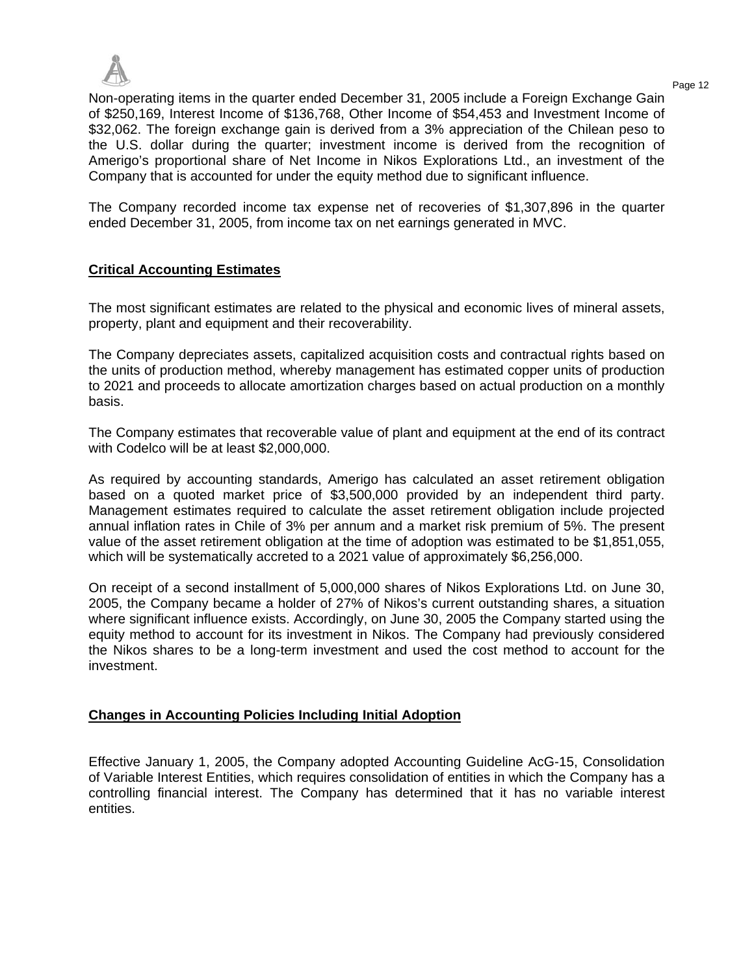

Page 12 Non-operating items in the quarter ended December 31, 2005 include a Foreign Exchange Gain of \$250,169, Interest Income of \$136,768, Other Income of \$54,453 and Investment Income of \$32,062. The foreign exchange gain is derived from a 3% appreciation of the Chilean peso to the U.S. dollar during the quarter; investment income is derived from the recognition of Amerigo's proportional share of Net Income in Nikos Explorations Ltd., an investment of the Company that is accounted for under the equity method due to significant influence.

The Company recorded income tax expense net of recoveries of \$1,307,896 in the quarter ended December 31, 2005, from income tax on net earnings generated in MVC.

# **Critical Accounting Estimates**

The most significant estimates are related to the physical and economic lives of mineral assets, property, plant and equipment and their recoverability.

The Company depreciates assets, capitalized acquisition costs and contractual rights based on the units of production method, whereby management has estimated copper units of production to 2021 and proceeds to allocate amortization charges based on actual production on a monthly basis.

The Company estimates that recoverable value of plant and equipment at the end of its contract with Codelco will be at least \$2,000,000.

As required by accounting standards, Amerigo has calculated an asset retirement obligation based on a quoted market price of \$3,500,000 provided by an independent third party. Management estimates required to calculate the asset retirement obligation include projected annual inflation rates in Chile of 3% per annum and a market risk premium of 5%. The present value of the asset retirement obligation at the time of adoption was estimated to be \$1,851,055, which will be systematically accreted to a 2021 value of approximately \$6,256,000.

On receipt of a second installment of 5,000,000 shares of Nikos Explorations Ltd. on June 30, 2005, the Company became a holder of 27% of Nikos's current outstanding shares, a situation where significant influence exists. Accordingly, on June 30, 2005 the Company started using the equity method to account for its investment in Nikos. The Company had previously considered the Nikos shares to be a long-term investment and used the cost method to account for the investment.

## **Changes in Accounting Policies Including Initial Adoption**

Effective January 1, 2005, the Company adopted Accounting Guideline AcG-15, Consolidation of Variable Interest Entities, which requires consolidation of entities in which the Company has a controlling financial interest. The Company has determined that it has no variable interest entities.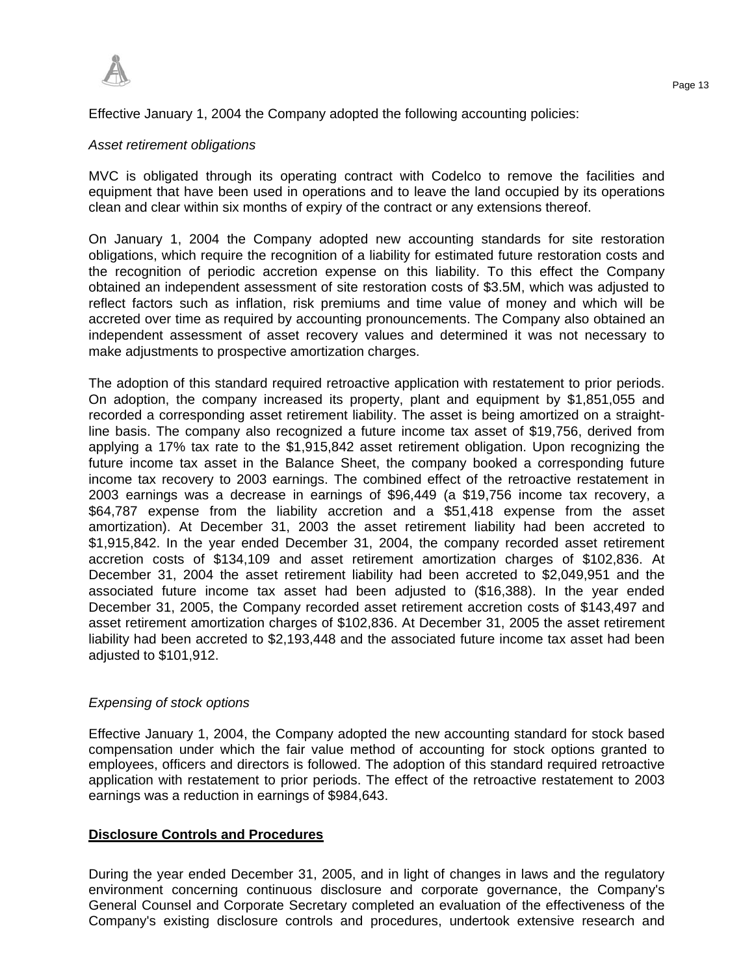

# Effective January 1, 2004 the Company adopted the following accounting policies:

## *Asset retirement obligations*

MVC is obligated through its operating contract with Codelco to remove the facilities and equipment that have been used in operations and to leave the land occupied by its operations clean and clear within six months of expiry of the contract or any extensions thereof.

On January 1, 2004 the Company adopted new accounting standards for site restoration obligations, which require the recognition of a liability for estimated future restoration costs and the recognition of periodic accretion expense on this liability. To this effect the Company obtained an independent assessment of site restoration costs of \$3.5M, which was adjusted to reflect factors such as inflation, risk premiums and time value of money and which will be accreted over time as required by accounting pronouncements. The Company also obtained an independent assessment of asset recovery values and determined it was not necessary to make adjustments to prospective amortization charges.

The adoption of this standard required retroactive application with restatement to prior periods. On adoption, the company increased its property, plant and equipment by \$1,851,055 and recorded a corresponding asset retirement liability. The asset is being amortized on a straightline basis. The company also recognized a future income tax asset of \$19,756, derived from applying a 17% tax rate to the \$1,915,842 asset retirement obligation. Upon recognizing the future income tax asset in the Balance Sheet, the company booked a corresponding future income tax recovery to 2003 earnings. The combined effect of the retroactive restatement in 2003 earnings was a decrease in earnings of \$96,449 (a \$19,756 income tax recovery, a \$64,787 expense from the liability accretion and a \$51,418 expense from the asset amortization). At December 31, 2003 the asset retirement liability had been accreted to \$1,915,842. In the year ended December 31, 2004, the company recorded asset retirement accretion costs of \$134,109 and asset retirement amortization charges of \$102,836. At December 31, 2004 the asset retirement liability had been accreted to \$2,049,951 and the associated future income tax asset had been adjusted to (\$16,388). In the year ended December 31, 2005, the Company recorded asset retirement accretion costs of \$143,497 and asset retirement amortization charges of \$102,836. At December 31, 2005 the asset retirement liability had been accreted to \$2,193,448 and the associated future income tax asset had been adjusted to \$101,912.

## *Expensing of stock options*

Effective January 1, 2004, the Company adopted the new accounting standard for stock based compensation under which the fair value method of accounting for stock options granted to employees, officers and directors is followed. The adoption of this standard required retroactive application with restatement to prior periods. The effect of the retroactive restatement to 2003 earnings was a reduction in earnings of \$984,643.

# **Disclosure Controls and Procedures**

During the year ended December 31, 2005, and in light of changes in laws and the regulatory environment concerning continuous disclosure and corporate governance, the Company's General Counsel and Corporate Secretary completed an evaluation of the effectiveness of the Company's existing disclosure controls and procedures, undertook extensive research and